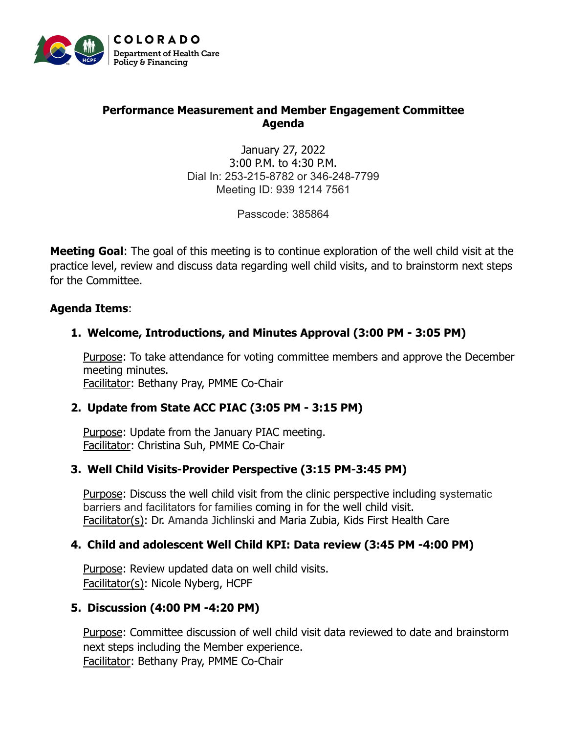

#### **Performance Measurement and Member Engagement Committee Agenda**

January 27, 2022 3:00 P.M. to 4:30 P.M. Dial In: 253-215-8782 or 346-248-7799 Meeting ID: 939 1214 7561

Passcode: 385864

**Meeting Goal**: The goal of this meeting is to continue exploration of the well child visit at the practice level, review and discuss data regarding well child visits, and to brainstorm next steps for the Committee.

#### **Agenda Items**:

# **1. Welcome, Introductions, and Minutes Approval (3:00 PM - 3:05 PM)**

Purpose: To take attendance for voting committee members and approve the December meeting minutes. Facilitator: Bethany Pray, PMME Co-Chair

# **2. Update from State ACC PIAC (3:05 PM - 3:15 PM)**

Purpose: Update from the January PIAC meeting. Facilitator: Christina Suh, PMME Co-Chair

# **3. Well Child Visits-Provider Perspective (3:15 PM-3:45 PM)**

Purpose: Discuss the well child visit from the clinic perspective including systematic barriers and facilitators for families coming in for the well child visit. Facilitator(s): Dr. Amanda Jichlinski and Maria Zubia, Kids First Health Care

# **4. Child and adolescent Well Child KPI: Data review (3:45 PM -4:00 PM)**

Purpose: Review updated data on well child visits. Facilitator(s): Nicole Nyberg, HCPF

# **5. Discussion (4:00 PM -4:20 PM)**

Purpose: Committee discussion of well child visit data reviewed to date and brainstorm next steps including the Member experience. Facilitator: Bethany Pray, PMME Co-Chair